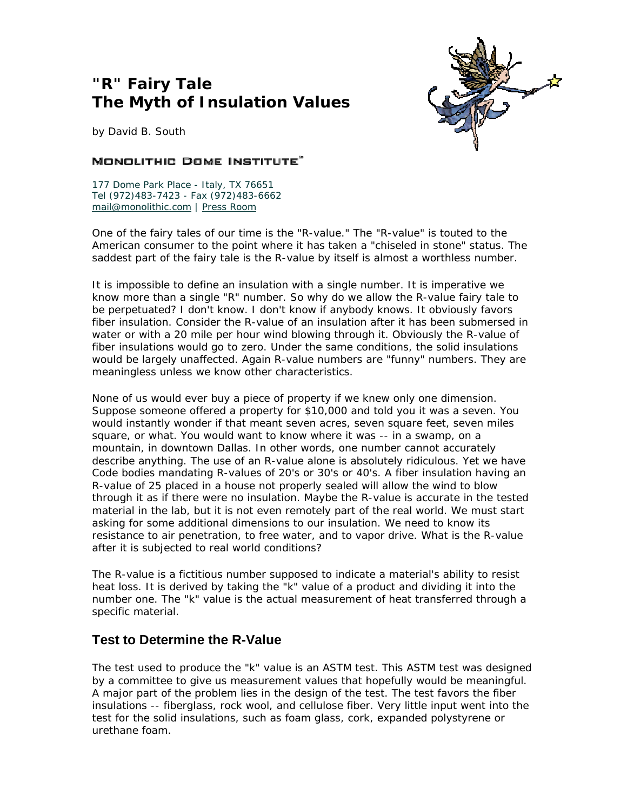# **"R" Fairy Tale The Myth of Insulation Values**



*by David B. South*

#### MONOLITHIC DOME INSTITUTE"

177 Dome Park Place - Italy, TX 76651 Tel (972)483-7423 - Fax (972)483-6662 mail@monolithic.com | Press Room

One of the fairy tales of our time is the "R-value." The "R-value" is touted to the American consumer to the point where it has taken a "chiseled in stone" status. The saddest part of the fairy tale is the R-value by itself is almost a worthless number.

It is impossible to define an insulation with a single number. It is imperative we know more than a single "R" number. So why do we allow the R-value fairy tale to be perpetuated? I don't know. I don't know if anybody knows. It obviously favors fiber insulation. Consider the R-value of an insulation after it has been submersed in water or with a 20 mile per hour wind blowing through it. Obviously the R-value of fiber insulations would go to zero. Under the same conditions, the solid insulations would be largely unaffected. Again R-value numbers are "funny" numbers. They are meaningless unless we know other characteristics.

None of us would ever buy a piece of property if we knew only one dimension. Suppose someone offered a property for \$10,000 and told you it was a seven. You would instantly wonder if that meant seven acres, seven square feet, seven miles square, or what. You would want to know where it was -- in a swamp, on a mountain, in downtown Dallas. In other words, one number cannot accurately describe anything. The use of an R-value alone is absolutely ridiculous. Yet we have Code bodies mandating R-values of 20's or 30's or 40's. A fiber insulation having an R-value of 25 placed in a house not properly sealed will allow the wind to blow through it as if there were no insulation. Maybe the R-value is accurate in the tested material in the lab, but it is not even remotely part of the real world. We must start asking for some additional dimensions to our insulation. We need to know its resistance to air penetration, to free water, and to vapor drive. What is the R-value after it is subjected to real world conditions?

The R-value is a fictitious number supposed to indicate a material's ability to resist heat loss. It is derived by taking the "k" value of a product and dividing it into the number one. The "k" value is the actual measurement of heat transferred through a specific material.

### **Test to Determine the R-Value**

The test used to produce the "k" value is an ASTM test. This ASTM test was designed by a committee to give us measurement values that hopefully would be meaningful. A major part of the problem lies in the design of the test. The test favors the fiber insulations -- fiberglass, rock wool, and cellulose fiber. Very little input went into the test for the solid insulations, such as foam glass, cork, expanded polystyrene or urethane foam.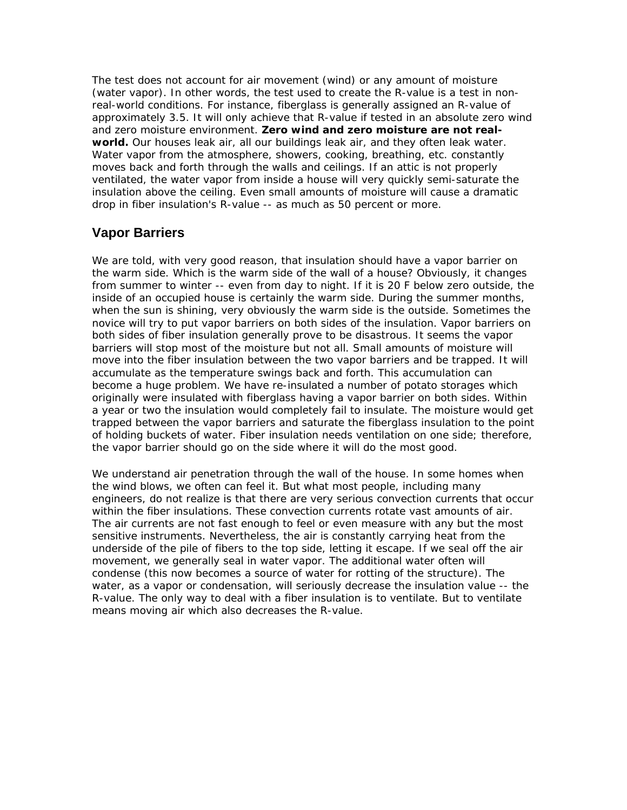The test does not account for air movement (wind) or any amount of moisture (water vapor). In other words, the test used to create the R-value is a test in nonreal-world conditions. For instance, fiberglass is generally assigned an R-value of approximately 3.5. It will only achieve that R-value if tested in an absolute zero wind and zero moisture environment. **Zero wind and zero moisture are not realworld.** Our houses leak air, all our buildings leak air, and they often leak water. Water vapor from the atmosphere, showers, cooking, breathing, etc. constantly moves back and forth through the walls and ceilings. If an attic is not properly ventilated, the water vapor from inside a house will very quickly semi-saturate the insulation above the ceiling. Even small amounts of moisture will cause a dramatic drop in fiber insulation's R-value -- as much as 50 percent or more.

## **Vapor Barriers**

We are told, with very good reason, that insulation should have a vapor barrier on the warm side. Which is the warm side of the wall of a house? Obviously, it changes from summer to winter -- even from day to night. If it is 20 F below zero outside, the inside of an occupied house is certainly the warm side. During the summer months, when the sun is shining, very obviously the warm side is the outside. Sometimes the novice will try to put vapor barriers on both sides of the insulation. Vapor barriers on both sides of fiber insulation generally prove to be disastrous. It seems the vapor barriers will stop most of the moisture but not all. Small amounts of moisture will move into the fiber insulation between the two vapor barriers and be trapped. It will accumulate as the temperature swings back and forth. This accumulation can become a huge problem. We have re-insulated a number of potato storages which originally were insulated with fiberglass having a vapor barrier on both sides. Within a year or two the insulation would completely fail to insulate. The moisture would get trapped between the vapor barriers and saturate the fiberglass insulation to the point of holding buckets of water. Fiber insulation needs ventilation on one side; therefore, the vapor barrier should go on the side where it will do the most good.

We understand air penetration through the wall of the house. In some homes when the wind blows, we often can feel it. But what most people, including many engineers, do not realize is that there are very serious convection currents that occur within the fiber insulations. These convection currents rotate vast amounts of air. The air currents are not fast enough to feel or even measure with any but the most sensitive instruments. Nevertheless, the air is constantly carrying heat from the underside of the pile of fibers to the top side, letting it escape. If we seal off the air movement, we generally seal in water vapor. The additional water often will condense (this now becomes a source of water for rotting of the structure). The water, as a vapor or condensation, will seriously decrease the insulation value -- the R-value. The only way to deal with a fiber insulation is to ventilate. But to ventilate means moving air which also decreases the R-value.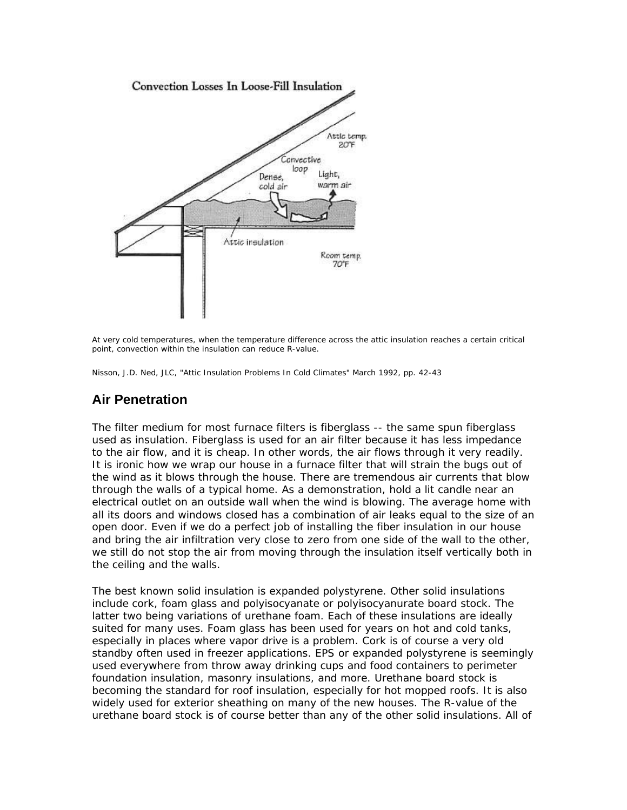

*At very cold temperatures, when the temperature difference across the attic insulation reaches a certain critical point, convection within the insulation can reduce R-value.*

*Nisson, J.D. Ned, JLC, "Attic Insulation Problems In Cold Climates" March 1992, pp. 42-43*

### **Air Penetration**

The filter medium for most furnace filters is fiberglass -- the same spun fiberglass used as insulation. Fiberglass is used for an air filter because it has less impedance to the air flow, and it is cheap. In other words, the air flows through it very readily. It is ironic how we wrap our house in a furnace filter that will strain the bugs out of the wind as it blows through the house. There are tremendous air currents that blow through the walls of a typical home. As a demonstration, hold a lit candle near an electrical outlet on an outside wall when the wind is blowing. The average home with all its doors and windows closed has a combination of air leaks equal to the size of an open door. Even if we do a perfect job of installing the fiber insulation in our house and bring the air infiltration very close to zero from one side of the wall to the other, we still do not stop the air from moving through the insulation itself vertically both in the ceiling and the walls.

The best known solid insulation is expanded polystyrene. Other solid insulations include cork, foam glass and polyisocyanate or polyisocyanurate board stock. The latter two being variations of urethane foam. Each of these insulations are ideally suited for many uses. Foam glass has been used for years on hot and cold tanks, especially in places where vapor drive is a problem. Cork is of course a very old standby often used in freezer applications. EPS or expanded polystyrene is seemingly used everywhere from throw away drinking cups and food containers to perimeter foundation insulation, masonry insulations, and more. Urethane board stock is becoming the standard for roof insulation, especially for hot mopped roofs. It is also widely used for exterior sheathing on many of the new houses. The R-value of the urethane board stock is of course better than any of the other solid insulations. All of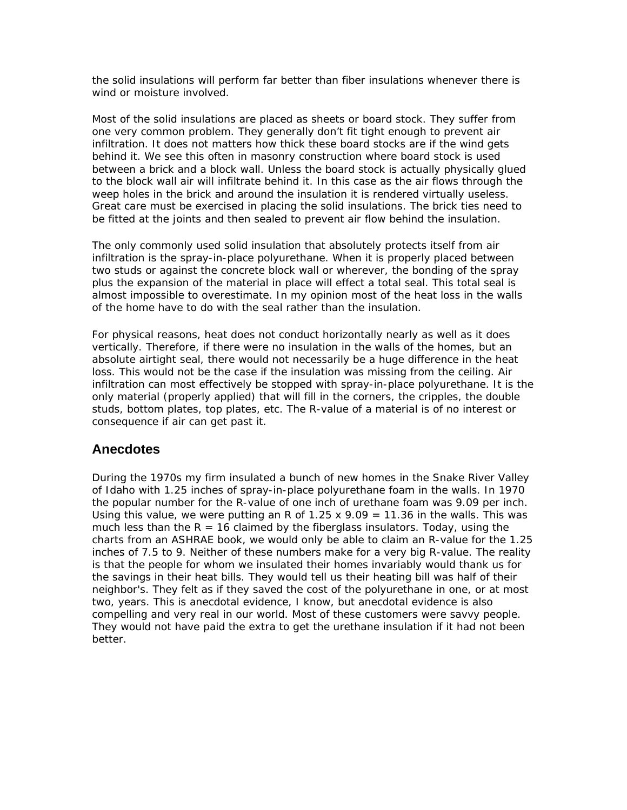the solid insulations will perform far better than fiber insulations whenever there is wind or moisture involved.

Most of the solid insulations are placed as sheets or board stock. They suffer from one very common problem. They generally don't fit tight enough to prevent air infiltration. It does not matters how thick these board stocks are if the wind gets behind it. We see this often in masonry construction where board stock is used between a brick and a block wall. Unless the board stock is actually physically glued to the block wall air will infiltrate behind it. In this case as the air flows through the weep holes in the brick and around the insulation it is rendered virtually useless. Great care must be exercised in placing the solid insulations. The brick ties need to be fitted at the joints and then sealed to prevent air flow behind the insulation.

The only commonly used solid insulation that absolutely protects itself from air infiltration is the spray-in-place polyurethane. When it is properly placed between two studs or against the concrete block wall or wherever, the bonding of the spray plus the expansion of the material in place will effect a total seal. This total seal is almost impossible to overestimate. In my opinion most of the heat loss in the walls of the home have to do with the seal rather than the insulation.

For physical reasons, heat does not conduct horizontally nearly as well as it does vertically. Therefore, if there were no insulation in the walls of the homes, but an absolute airtight seal, there would not necessarily be a huge difference in the heat loss. This would not be the case if the insulation was missing from the ceiling. Air infiltration can most effectively be stopped with spray-in-place polyurethane. It is the only material (properly applied) that will fill in the corners, the cripples, the double studs, bottom plates, top plates, etc. The R-value of a material is of no interest or consequence if air can get past it.

### **Anecdotes**

During the 1970s my firm insulated a bunch of new homes in the Snake River Valley of Idaho with 1.25 inches of spray-in-place polyurethane foam in the walls. In 1970 the popular number for the R-value of one inch of urethane foam was 9.09 per inch. Using this value, we were putting an R of  $1.25 \times 9.09 = 11.36$  in the walls. This was much less than the  $R = 16$  claimed by the fiberglass insulators. Today, using the charts from an ASHRAE book, we would only be able to claim an R-value for the 1.25 inches of 7.5 to 9. Neither of these numbers make for a very big R-value. The reality is that the people for whom we insulated their homes invariably would thank us for the savings in their heat bills. They would tell us their heating bill was half of their neighbor's. They felt as if they saved the cost of the polyurethane in one, or at most two, years. This is anecdotal evidence, I know, but anecdotal evidence is also compelling and very real in our world. Most of these customers were savvy people. They would not have paid the extra to get the urethane insulation if it had not been better.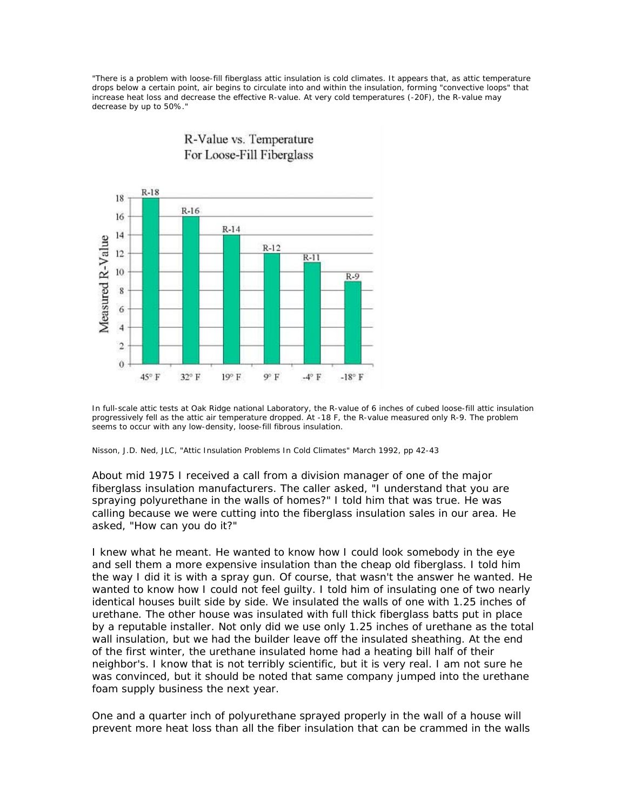*"There is a problem with loose-fill fiberglass attic insulation is cold climates. It appears that, as attic temperature drops below a certain point, air begins to circulate into and within the insulation, forming "convective loops" that increase heat loss and decrease the effective R-value. At very cold temperatures (-20F), the R-value may decrease by up to 50%."*



*In full-scale attic tests at Oak Ridge national Laboratory, the R-value of 6 inches of cubed loose-fill attic insulation progressively fell as the attic air temperature dropped. At -18 F, the R-value measured only R-9. The problem seems to occur with any low-density, loose-fill fibrous insulation.*

*Nisson, J.D. Ned, JLC, "Attic Insulation Problems In Cold Climates" March 1992, pp 42-43* 

About mid 1975 I received a call from a division manager of one of the major fiberglass insulation manufacturers. The caller asked, "I understand that you are spraying polyurethane in the walls of homes?" I told him that was true. He was calling because we were cutting into the fiberglass insulation sales in our area. He asked, "How can you do it?"

I knew what he meant. He wanted to know how I could look somebody in the eye and sell them a more expensive insulation than the cheap old fiberglass. I told him the way I did it is with a spray gun. Of course, that wasn't the answer he wanted. He wanted to know how I could not feel guilty. I told him of insulating one of two nearly identical houses built side by side. We insulated the walls of one with 1.25 inches of urethane. The other house was insulated with full thick fiberglass batts put in place by a reputable installer. Not only did we use only 1.25 inches of urethane as the total wall insulation, but we had the builder leave off the insulated sheathing. At the end of the first winter, the urethane insulated home had a heating bill half of their neighbor's. I know that is not terribly scientific, but it is very real. I am not sure he was convinced, but it should be noted that same company jumped into the urethane foam supply business the next year.

One and a quarter inch of polyurethane sprayed properly in the wall of a house will prevent more heat loss than all the fiber insulation that can be crammed in the walls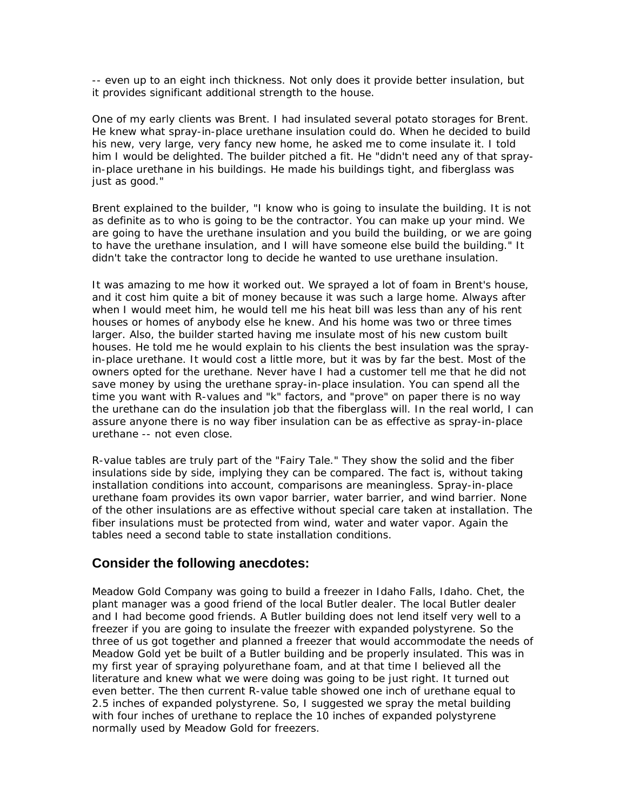-- even up to an eight inch thickness. Not only does it provide better insulation, but it provides significant additional strength to the house.

One of my early clients was Brent. I had insulated several potato storages for Brent. He knew what spray-in-place urethane insulation could do. When he decided to build his new, very large, very fancy new home, he asked me to come insulate it. I told him I would be delighted. The builder pitched a fit. He "didn't need any of that sprayin-place urethane in his buildings. He made his buildings tight, and fiberglass was just as good."

Brent explained to the builder, "I know who is going to insulate the building. It is not as definite as to who is going to be the contractor. You can make up your mind. We are going to have the urethane insulation and you build the building, or we are going to have the urethane insulation, and I will have someone else build the building." It didn't take the contractor long to decide he wanted to use urethane insulation.

It was amazing to me how it worked out. We sprayed a lot of foam in Brent's house, and it cost him quite a bit of money because it was such a large home. Always after when I would meet him, he would tell me his heat bill was less than any of his rent houses or homes of anybody else he knew. And his home was two or three times larger. Also, the builder started having me insulate most of his new custom built houses. He told me he would explain to his clients the best insulation was the sprayin-place urethane. It would cost a little more, but it was by far the best. Most of the owners opted for the urethane. Never have I had a customer tell me that he did not save money by using the urethane spray-in-place insulation. You can spend all the time you want with R-values and "k" factors, and "prove" on paper there is no way the urethane can do the insulation job that the fiberglass will. In the real world, I can assure anyone there is no way fiber insulation can be as effective as spray-in-place urethane -- not even close.

R-value tables are truly part of the "Fairy Tale." They show the solid and the fiber insulations side by side, implying they can be compared. The fact is, without taking installation conditions into account, comparisons are meaningless. Spray-in-place urethane foam provides its own vapor barrier, water barrier, and wind barrier. None of the other insulations are as effective without special care taken at installation. The fiber insulations must be protected from wind, water and water vapor. Again the tables need a second table to state installation conditions.

#### **Consider the following anecdotes:**

Meadow Gold Company was going to build a freezer in Idaho Falls, Idaho. Chet, the plant manager was a good friend of the local Butler dealer. The local Butler dealer and I had become good friends. A Butler building does not lend itself very well to a freezer if you are going to insulate the freezer with expanded polystyrene. So the three of us got together and planned a freezer that would accommodate the needs of Meadow Gold yet be built of a Butler building and be properly insulated. This was in my first year of spraying polyurethane foam, and at that time I believed all the literature and knew what we were doing was going to be just right. It turned out even better. The then current R-value table showed one inch of urethane equal to 2.5 inches of expanded polystyrene. So, I suggested we spray the metal building with four inches of urethane to replace the 10 inches of expanded polystyrene normally used by Meadow Gold for freezers.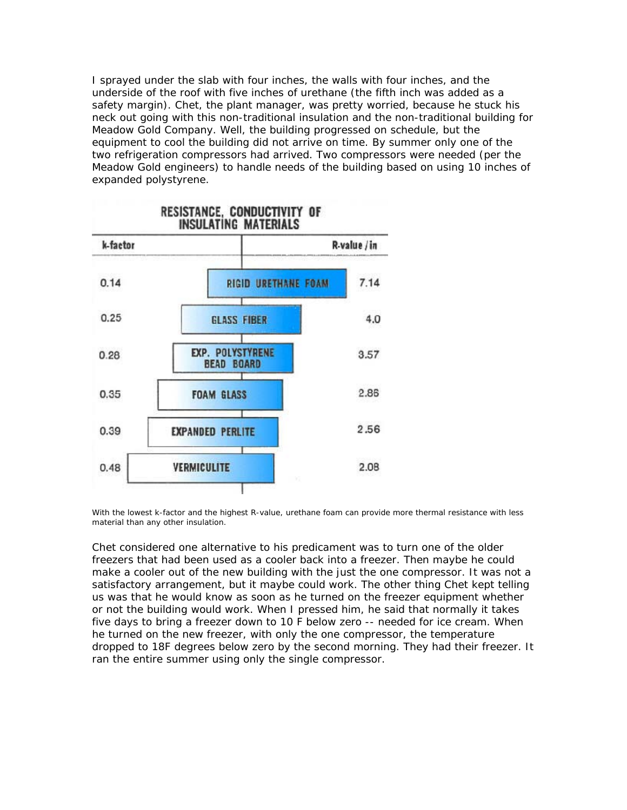I sprayed under the slab with four inches, the walls with four inches, and the underside of the roof with five inches of urethane (the fifth inch was added as a safety margin). Chet, the plant manager, was pretty worried, because he stuck his neck out going with this non-traditional insulation and the non-traditional building for Meadow Gold Company. Well, the building progressed on schedule, but the equipment to cool the building did not arrive on time. By summer only one of the two refrigeration compressors had arrived. Two compressors were needed (per the Meadow Gold engineers) to handle needs of the building based on using 10 inches of expanded polystyrene.



*With the lowest k-factor and the highest R-value, urethane foam can provide more thermal resistance with less material than any other insulation.*

Chet considered one alternative to his predicament was to turn one of the older freezers that had been used as a cooler back into a freezer. Then maybe he could make a cooler out of the new building with the just the one compressor. It was not a satisfactory arrangement, but it maybe could work. The other thing Chet kept telling us was that he would know as soon as he turned on the freezer equipment whether or not the building would work. When I pressed him, he said that normally it takes five days to bring a freezer down to 10 F below zero -- needed for ice cream. When he turned on the new freezer, with only the one compressor, the temperature dropped to 18F degrees below zero by the second morning. They had their freezer. It ran the entire summer using only the single compressor.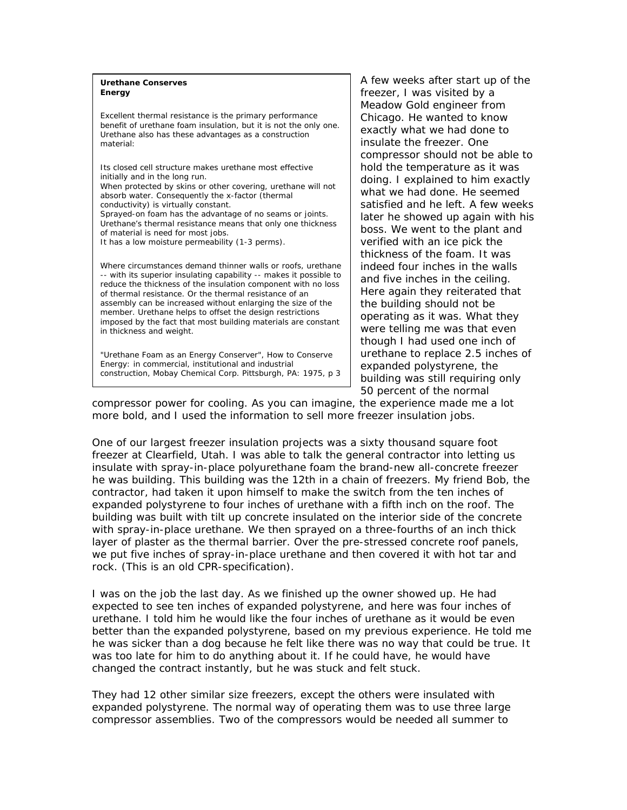#### *Urethane Conserves Energy*

*Excellent thermal resistance is the primary performance benefit of urethane foam insulation, but it is not the only one. Urethane also has these advantages as a construction material:*

*Its closed cell structure makes urethane most effective initially and in the long run. When protected by skins or other covering, urethane will not absorb water. Consequently the x-factor (thermal conductivity) is virtually constant. Sprayed-on foam has the advantage of no seams or joints. Urethane's thermal resistance means that only one thickness of material is need for most jobs. It has a low moisture permeability (1-3 perms).*

*Where circumstances demand thinner walls or roofs, urethane -- with its superior insulating capability -- makes it possible to reduce the thickness of the insulation component with no loss of thermal resistance. Or the thermal resistance of an assembly can be increased without enlarging the size of the member. Urethane helps to offset the design restrictions imposed by the fact that most building materials are constant in thickness and weight.*

*"Urethane Foam as an Energy Conserver", How to Conserve Energy: in commercial, institutional and industrial construction, Mobay Chemical Corp. Pittsburgh, PA: 1975, p 3* A few weeks after start up of the freezer, I was visited by a Meadow Gold engineer from Chicago. He wanted to know exactly what we had done to insulate the freezer. One compressor should not be able to hold the temperature as it was doing. I explained to him exactly what we had done. He seemed satisfied and he left. A few weeks later he showed up again with his boss. We went to the plant and verified with an ice pick the thickness of the foam. It was indeed four inches in the walls and five inches in the ceiling. Here again they reiterated that the building should not be operating as it was. What they were telling me was that even though I had used one inch of urethane to replace 2.5 inches of expanded polystyrene, the building was still requiring only 50 percent of the normal

compressor power for cooling. As you can imagine, the experience made me a lot more bold, and I used the information to sell more freezer insulation jobs.

One of our largest freezer insulation projects was a sixty thousand square foot freezer at Clearfield, Utah. I was able to talk the general contractor into letting us insulate with spray-in-place polyurethane foam the brand-new all-concrete freezer he was building. This building was the 12th in a chain of freezers. My friend Bob, the contractor, had taken it upon himself to make the switch from the ten inches of expanded polystyrene to four inches of urethane with a fifth inch on the roof. The building was built with tilt up concrete insulated on the interior side of the concrete with spray-in-place urethane. We then sprayed on a three-fourths of an inch thick layer of plaster as the thermal barrier. Over the pre-stressed concrete roof panels, we put five inches of spray-in-place urethane and then covered it with hot tar and rock. (This is an old CPR-specification).

I was on the job the last day. As we finished up the owner showed up. He had expected to see ten inches of expanded polystyrene, and here was four inches of urethane. I told him he would like the four inches of urethane as it would be even better than the expanded polystyrene, based on my previous experience. He told me he was sicker than a dog because he felt like there was no way that could be true. It was too late for him to do anything about it. If he could have, he would have changed the contract instantly, but he was stuck and felt stuck.

They had 12 other similar size freezers, except the others were insulated with expanded polystyrene. The normal way of operating them was to use three large compressor assemblies. Two of the compressors would be needed all summer to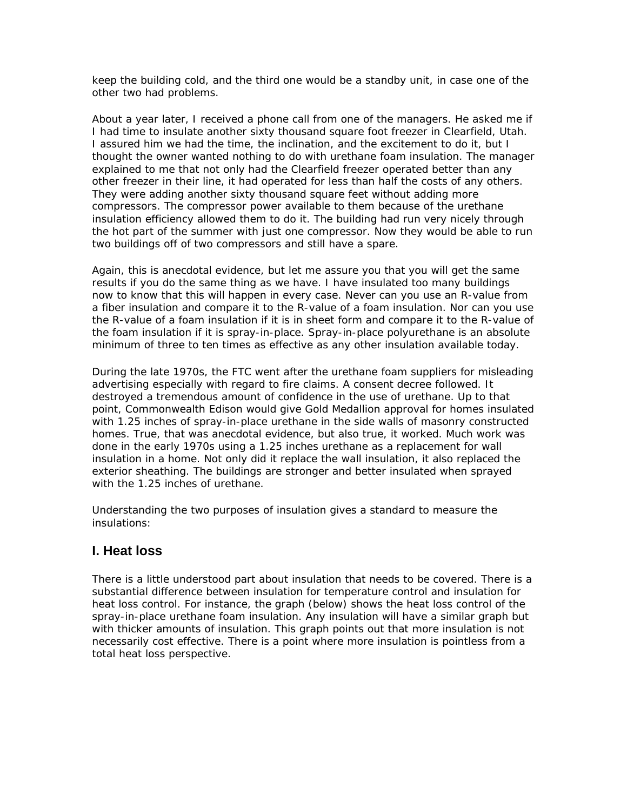keep the building cold, and the third one would be a standby unit, in case one of the other two had problems.

About a year later, I received a phone call from one of the managers. He asked me if I had time to insulate another sixty thousand square foot freezer in Clearfield, Utah. I assured him we had the time, the inclination, and the excitement to do it, but I thought the owner wanted nothing to do with urethane foam insulation. The manager explained to me that not only had the Clearfield freezer operated better than any other freezer in their line, it had operated for less than half the costs of any others. They were adding another sixty thousand square feet without adding more compressors. The compressor power available to them because of the urethane insulation efficiency allowed them to do it. The building had run very nicely through the hot part of the summer with just one compressor. Now they would be able to run two buildings off of two compressors and still have a spare.

Again, this is anecdotal evidence, but let me assure you that you will get the same results if you do the same thing as we have. I have insulated too many buildings now to know that this will happen in every case. Never can you use an R-value from a fiber insulation and compare it to the R-value of a foam insulation. Nor can you use the R-value of a foam insulation if it is in sheet form and compare it to the R-value of the foam insulation if it is spray-in-place. Spray-in-place polyurethane is an absolute minimum of three to ten times as effective as any other insulation available today.

During the late 1970s, the FTC went after the urethane foam suppliers for misleading advertising especially with regard to fire claims. A consent decree followed. It destroyed a tremendous amount of confidence in the use of urethane. Up to that point, Commonwealth Edison would give Gold Medallion approval for homes insulated with 1.25 inches of spray-in-place urethane in the side walls of masonry constructed homes. True, that was anecdotal evidence, but also true, it worked. Much work was done in the early 1970s using a 1.25 inches urethane as a replacement for wall insulation in a home. Not only did it replace the wall insulation, it also replaced the exterior sheathing. The buildings are stronger and better insulated when sprayed with the 1.25 inches of urethane.

Understanding the two purposes of insulation gives a standard to measure the insulations:

### **I. Heat loss**

There is a little understood part about insulation that needs to be covered. There is a substantial difference between insulation for temperature control and insulation for heat loss control. For instance, the graph (*below*) shows the heat loss control of the spray-in-place urethane foam insulation. Any insulation will have a similar graph but with thicker amounts of insulation. This graph points out that more insulation is not necessarily cost effective. There is a point where more insulation is pointless from a total heat loss perspective.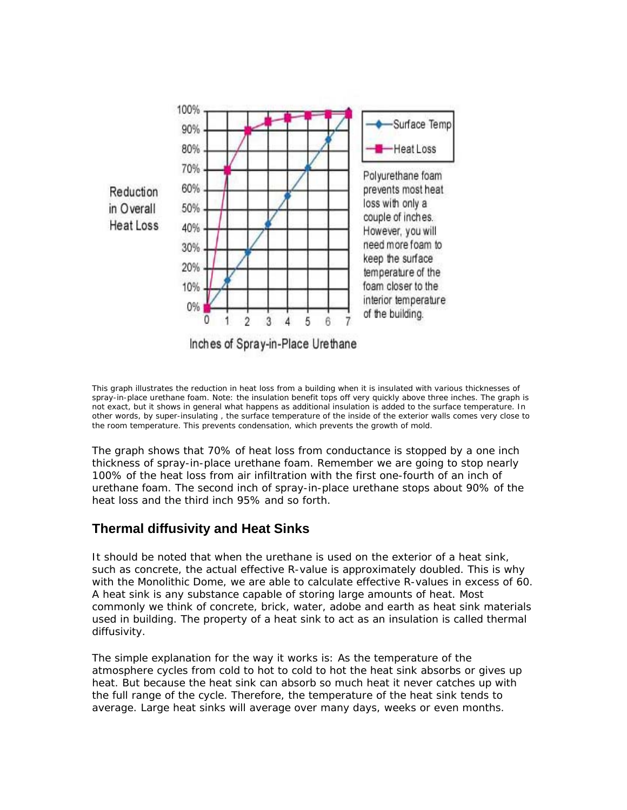

*This graph illustrates the reduction in heat loss from a building when it is insulated with various thicknesses of spray-in-place urethane foam. Note: the insulation benefit tops off very quickly above three inches. The graph is not exact, but it shows in general what happens as additional insulation is added to the surface temperature. In other words, by super-insulating , the surface temperature of the inside of the exterior walls comes very close to the room temperature. This prevents condensation, which prevents the growth of mold.*

The graph shows that 70% of heat loss from conductance is stopped by a one inch thickness of spray-in-place urethane foam. Remember we are going to stop nearly 100% of the heat loss from air infiltration with the first one-fourth of an inch of urethane foam. The second inch of spray-in-place urethane stops about 90% of the heat loss and the third inch 95% and so forth.

### **Thermal diffusivity and Heat Sinks**

It should be noted that when the urethane is used on the exterior of a heat sink, such as concrete, the actual effective R-value is approximately doubled. This is why with the Monolithic Dome, we are able to calculate effective R-values in excess of 60. A heat sink is any substance capable of storing large amounts of heat. Most commonly we think of concrete, brick, water, adobe and earth as heat sink materials used in building. The property of a heat sink to act as an insulation is called thermal diffusivity.

The simple explanation for the way it works is: As the temperature of the atmosphere cycles from cold to hot to cold to hot the heat sink absorbs or gives up heat. But because the heat sink can absorb so much heat it never catches up with the full range of the cycle. Therefore, the temperature of the heat sink tends to average. Large heat sinks will average over many days, weeks or even months.